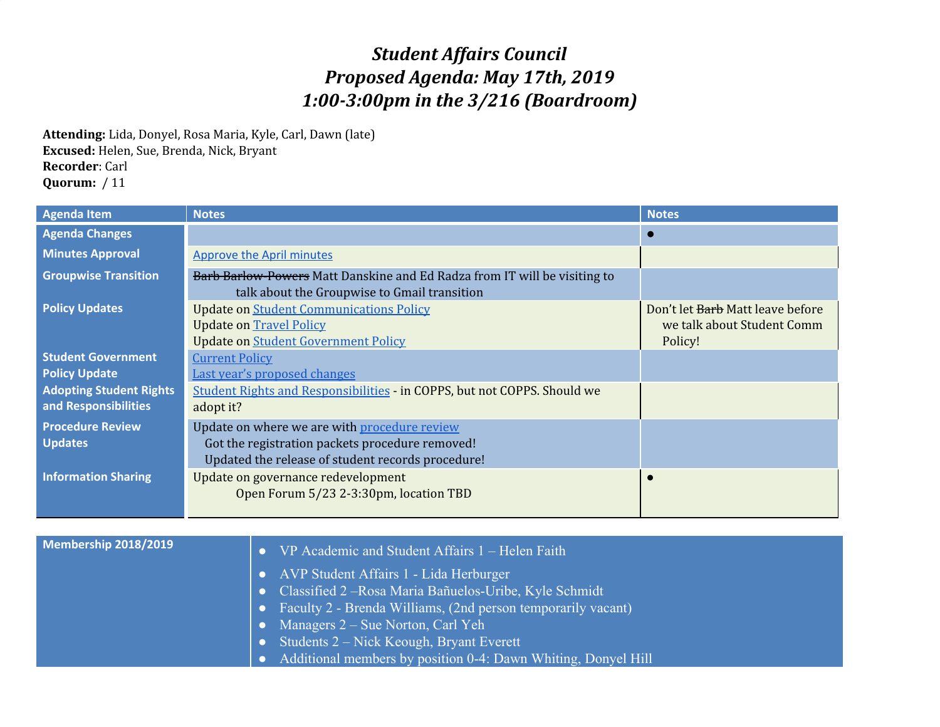## *Student Affairs Council Proposed Agenda: May 17th, 2019 1:00-3:00pm in the 3/216 (Boardroom)*

**Attending:** Lida, Donyel, Rosa Maria, Kyle, Carl, Dawn (late) **Excused:** Helen, Sue, Brenda, Nick, Bryant **Recorder**: Carl **Quorum:** / 11

| <b>Agenda Item</b>                                     | <b>Notes</b>                                                                                                                                         | <b>Notes</b>                                                              |
|--------------------------------------------------------|------------------------------------------------------------------------------------------------------------------------------------------------------|---------------------------------------------------------------------------|
| <b>Agenda Changes</b>                                  |                                                                                                                                                      |                                                                           |
| <b>Minutes Approval</b>                                | <b>Approve the April minutes</b>                                                                                                                     |                                                                           |
| <b>Groupwise Transition</b>                            | Barb Barlow-Powers Matt Danskine and Ed Radza from IT will be visiting to<br>talk about the Groupwise to Gmail transition                            |                                                                           |
| <b>Policy Updates</b>                                  | <b>Update on Student Communications Policy</b><br><b>Update on Travel Policy</b><br><b>Update on Student Government Policy</b>                       | Don't let Barb Matt leave before<br>we talk about Student Comm<br>Policy! |
| <b>Student Government</b><br><b>Policy Update</b>      | <b>Current Policy</b><br>Last year's proposed changes                                                                                                |                                                                           |
| <b>Adopting Student Rights</b><br>and Responsibilities | Student Rights and Responsibilities - in COPPS, but not COPPS. Should we<br>adopt it?                                                                |                                                                           |
| <b>Procedure Review</b><br><b>Updates</b>              | Update on where we are with procedure review<br>Got the registration packets procedure removed!<br>Updated the release of student records procedure! |                                                                           |
| <b>Information Sharing</b>                             | Update on governance redevelopment<br>Open Forum 5/23 2-3:30pm, location TBD                                                                         |                                                                           |

| Membership 2018/2019 |           | VP Academic and Student Affairs 1 – Helen Faith                 |
|----------------------|-----------|-----------------------------------------------------------------|
|                      |           | • AVP Student Affairs 1 - Lida Herburger                        |
|                      | <b>OZ</b> | Classified 2 – Rosa Maria Bañuelos-Uribe, Kyle Schmidt          |
|                      |           | • Faculty 2 - Brenda Williams, (2nd person temporarily vacant), |
|                      |           | • Managers $2 - S$ ue Norton, Carl Yeh                          |
|                      |           | • Students $2$ – Nick Keough, Bryant Everett                    |
|                      |           | Additional members by position 0-4: Dawn Whiting, Donyel Hill   |